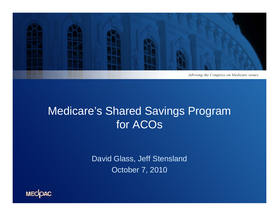

# Medicare's Shared Savings Program for ACOs

David Glass, Jeff Stensland October 7, 2010

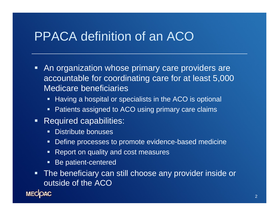### PPACA definition of an ACO

- An organization whose primary care providers are accountable for coordinating care for at least 5,000 Medicare beneficiaries
	- Ξ Having a hospital or specialists in the ACO is optional
	- Patients assigned to ACO using primary care claims
- $\blacksquare$  Required capabilities:
	- Distribute bonuses
	- Define processes to promote evidence-based medicine
	- Report on quality and cost measures
	- $\blacksquare$ Be patient-centered
- $\blacksquare$ • The beneficiary can still choose any provider inside or outside of the ACO

**MECOAC**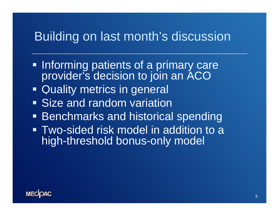## Building on last month's discussion

- **Informing patients of a primary care** provider's decision to join an ACO
- **Quality metrics in general**
- **Size and random variation**
- **Benchmarks and historical spending**
- Two-sided risk model in addition to a high-threshold bonus-only model

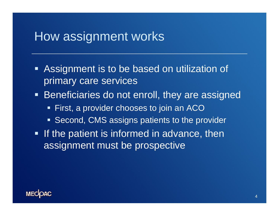### How assignment works

- **Assignment is to be based on utilization of** primary care services
- **Beneficiaries do not enroll, they are assigned** 
	- First, a provider chooses to join an ACO
	- Second, CMS assigns patients to the provider
- **If the patient is informed in advance, then** assignment must be prospective

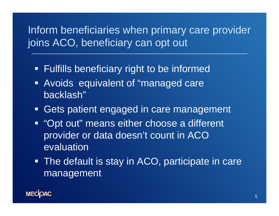### Inform beneficiaries when primary care provider joins ACO, beneficiary can opt out

- **-** Fulfills beneficiary right to be informed
- **Avoids equivalent of "managed care"** backlash"
- **Gets patient engaged in care management**
- "Opt out" means either choose a different provider or data doesn't count in ACO evaluation
- **The default is stay in ACO, participate in care** management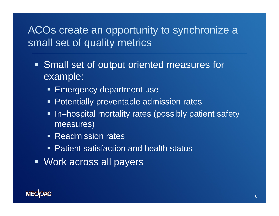#### ACOs create an opportunity to synchronize a small set of quality metrics

- **Small set of output oriented measures for** example:
	- **Emergency department use**
	- Potentially preventable admission rates
	- **In–hospital mortality rates (possibly patient safety** measures )
	- **Readmission rates**
	- Patient satisfaction and health status
- Work across all payers

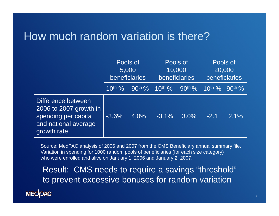#### How much random variation is there?

|                                                                                                            | Pools of<br>5,000<br>beneficiaries |             | Pools of<br>10,000<br>beneficiaries |                         | Pools of<br>20,000<br>beneficiaries |         |
|------------------------------------------------------------------------------------------------------------|------------------------------------|-------------|-------------------------------------|-------------------------|-------------------------------------|---------|
|                                                                                                            | $10^{th}$ %                        | $90^{th}$ % |                                     | $10^{th}$ % $90^{th}$ % | 10th % 90th %                       |         |
| Difference between<br>2006 to 2007 growth in<br>spending per capita<br>and national average<br>growth rate | $-3.6%$                            | $4.0\%$     |                                     | $-3.1\%$ 3.0%           | $-2.1$                              | $2.1\%$ |

Source: MedPAC analysis of 2006 and 2007 from the CMS Beneficiary annual summary file. Variation in spending for 1000 random pools of beneficiaries (for each size category) who were enrolled and alive on January 1, 2006 and January 2, 2007.

Result: CMS needs to require a savings "threshold" to prevent excessive bonuses for random variation

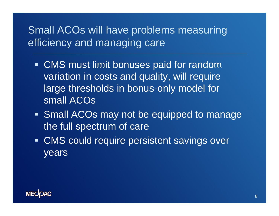### Small ACOs will have problems measuring efficiency and managing care

- **CMS** must limit bonuses paid for random variation in costs and quality, will require large thresholds in bonus-only model for small ACOs
- **Small ACOs may not be equipped to manage** the full spectrum of care
- **CMS could require persistent savings over** years

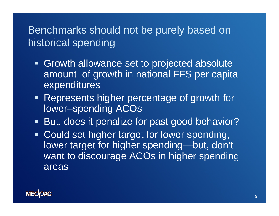#### Benchmarks should not be purely based on historical spending

- **Growth allowance set to projected absolute** amount of growth in national FFS per capita expenditures
- Represents higher percentage of growth for lower–spending ACOs
- $\blacksquare$ But, does it penalize for past good behavior?
- **Could set higher target for lower spending,** lower target for higher spending—but, don't want to discourage ACOs in higher spending areas

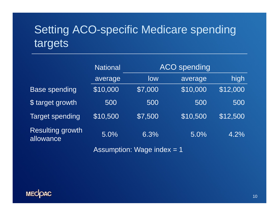# Setting ACO-specific Medicare spending targets

| <b>National</b> |         |          |                     |
|-----------------|---------|----------|---------------------|
| average         | low     | average  | high                |
| \$10,000        | \$7,000 | \$10,000 | \$12,000            |
| 500             | 500     | 500      | 500                 |
| \$10,500        | \$7,500 | \$10,500 | \$12,500            |
| 5.0%            | 6.3%    | 5.0%     | 4.2%                |
|                 |         |          | <b>ACO</b> spending |

Assumption: Wage index <sup>=</sup> 1

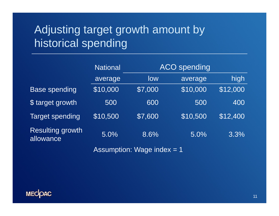# Adjusting target growth amount by historical spending

| <b>National</b> |         |          |                     |
|-----------------|---------|----------|---------------------|
| average         | low     | average  | high                |
| \$10,000        | \$7,000 | \$10,000 | \$12,000            |
| 500             | 600     | 500      | 400                 |
| \$10,500        | \$7,600 | \$10,500 | \$12,400            |
| 5.0%            | 8.6%    | 5.0%     | 3.3%                |
|                 |         |          | <b>ACO</b> spending |

Assumption: Wage index <sup>=</sup> 1

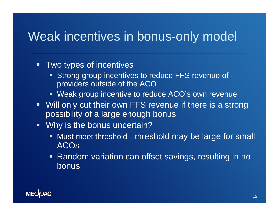## Weak incentives in bonus-only model

- **-** Two types of incentives
	- **Strong group incentives to reduce FFS revenue of** providers outside of the ACO
	- " Weak group incentive to reduce ACO's own revenue
- **Will only cut their own FFS revenue if there is a strong** possibility of a large enough bonus
- **Why is the bonus uncertain?** 
	- Must meet threshold—threshold may be large for small ACOs
	- **Random variation can offset savings, resulting in no** bonus

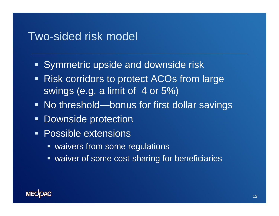#### Two-sided risk model

- **Symmetric upside and downside risk**
- **Risk corridors to protect ACOs from large** swings (e.g. a limit of  $4$  or  $5\%$ )
- No threshold—bonus for first dollar savings
- $\blacksquare$ Downside protection
- Possible extensions
	- **waivers from some regulations**
	- **waiver of some cost-sharing for beneficiaries**